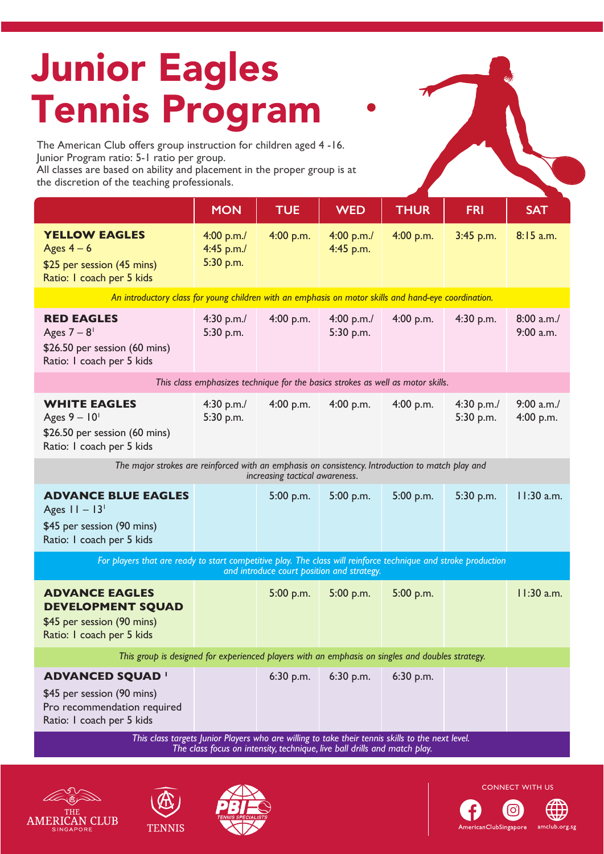# Junior Eagles Tennis Program

The American Club offers group instruction for children aged 4 -16. Junior Program ratio: 5-1 ratio per group. All classes are based on ability and placement in the proper group is at

the discretion of the teaching professionals.

|                                                                                                                                                                               | <b>MON</b>                            | <b>TUE</b>  | <b>WED</b>              | <b>THUR</b> | <b>FRI</b>              | <b>SAT</b>             |
|-------------------------------------------------------------------------------------------------------------------------------------------------------------------------------|---------------------------------------|-------------|-------------------------|-------------|-------------------------|------------------------|
| <b>YELLOW EAGLES</b><br>Ages $4-6$<br>\$25 per session (45 mins)<br>Ratio: I coach per 5 kids                                                                                 | 4:00 p.m./<br>4:45 p.m./<br>5:30 p.m. | 4:00 p.m.   | 4:00 p.m./<br>4:45 p.m. | 4:00 p.m.   | $3:45$ p.m.             | 8:15 a.m.              |
| An introductory class for young children with an emphasis on motor skills and hand-eye coordination.                                                                          |                                       |             |                         |             |                         |                        |
| <b>RED EAGLES</b><br>Ages $7 - 8$ <sup>1</sup><br>\$26.50 per session (60 mins)<br>Ratio: I coach per 5 kids                                                                  | 4:30 p.m./<br>5:30 p.m.               | 4:00 p.m.   | 4:00 p.m./<br>5:30 p.m. | 4:00 p.m.   | 4:30 p.m.               | 8:00 a.m.<br>9:00 a.m. |
| This class emphasizes technique for the basics strokes as well as motor skills.                                                                                               |                                       |             |                         |             |                         |                        |
| <b>WHITE EAGLES</b><br>Ages $9 - 10$ <sup>1</sup><br>\$26.50 per session (60 mins)<br>Ratio: I coach per 5 kids                                                               | 4:30 p.m./<br>5:30 p.m.               | 4:00 p.m.   | 4:00 p.m.               | 4:00 p.m.   | 4:30 p.m./<br>5:30 p.m. | 9:00 a.m.<br>4:00 p.m. |
| The major strokes are reinforced with an emphasis on consistency. Introduction to match play and<br>increasing tactical awareness.                                            |                                       |             |                         |             |                         |                        |
| <b>ADVANCE BLUE EAGLES</b><br>Ages $11 - 13$ <sup>1</sup><br>\$45 per session (90 mins)<br>Ratio: I coach per 5 kids                                                          |                                       | 5:00 p.m.   | 5:00 p.m.               | 5:00 p.m.   | 5:30 p.m.               | 11:30 a.m.             |
| For players that are ready to start competitive play. The class will reinforce technique and stroke production<br>and introduce court position and strategy.                  |                                       |             |                         |             |                         |                        |
| <b>ADVANCE EAGLES</b><br><b>DEVELOPMENT SQUAD</b><br>\$45 per session (90 mins)<br>Ratio: I coach per 5 kids                                                                  |                                       | 5:00 p.m.   | 5:00 p.m.               | 5:00 p.m.   |                         | 11:30 a.m.             |
| This group is designed for experienced players with an emphasis on singles and doubles strategy.                                                                              |                                       |             |                         |             |                         |                        |
| <b>ADVANCED SQUAD '</b><br>\$45 per session (90 mins)<br>Pro recommendation required<br>Ratio: I coach per 5 kids                                                             |                                       | $6:30$ p.m. | $6:30$ p.m.             | $6:30$ p.m. |                         |                        |
| This class targets Junior Players who are willing to take their tennis skills to the next level.<br>The class focus on intensity, technique, live ball drills and match play. |                                       |             |                         |             |                         |                        |